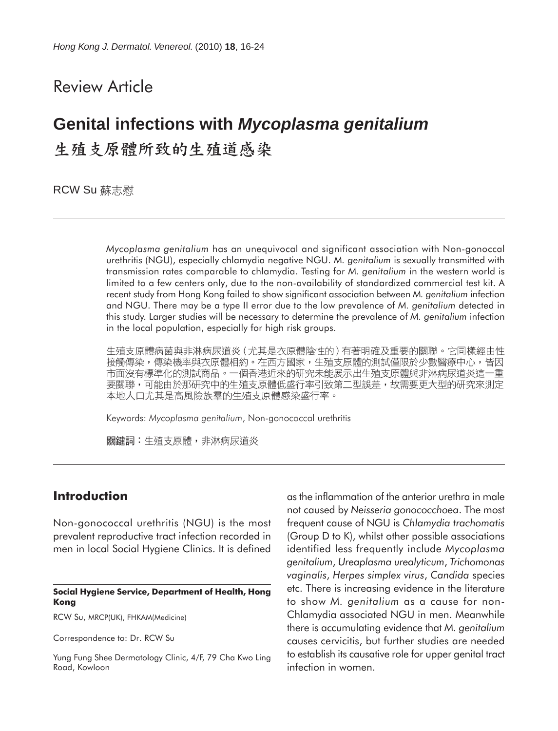## Review Article

# **Genital infections with** *Mycoplasma genitalium* 生殖支原體所致的生殖道感染

**RCW Su 蘇志慰** 

*Mycoplasma genitalium* has an unequivocal and significant association with Non-gonoccal urethritis (NGU), especially chlamydia negative NGU. *M. genitalium* is sexually transmitted with transmission rates comparable to chlamydia. Testing for *M. genitalium* in the western world is limited to a few centers only, due to the non-availability of standardized commercial test kit. A recent study from Hong Kong failed to show significant association between *M. genitalium* infection and NGU. There may be a type II error due to the low prevalence of *M. genitalium* detected in this study. Larger studies will be necessary to determine the prevalence of *M. genitalium* infection in the local population, especially for high risk groups.

生殖支原體病菌與非淋病尿道炎(尤其是衣原體陰性的)有著明確及重要的關聯。它同樣經由性 接觸傳染,傳染機率與衣原體相約。在西方國家,生殖支原體的測試僅限於少數醫療中心,皆因 市面沒有標準化的測試商品。一個香港近來的研究未能展示出生殖支原體與非淋病尿道炎這一重 要關聯,可能由於那研究中的生殖支原體低盛行率引致第二型誤差,故需要更大型的研究來測定 本地人口尤其是高風險族羣的生殖支原體感染盛行率。

Keywords: *Mycoplasma genitalium*, Non-gonococcal urethritis

**關鍵詞:**牛殖支原體,非淋病尿道炎

## **Introduction**

Non-gonococcal urethritis (NGU) is the most prevalent reproductive tract infection recorded in men in local Social Hygiene Clinics. It is defined

#### **Social Hygiene Service, Department of Health, Hong Kong**

RCW Su, MRCP(UK), FHKAM(Medicine)

Correspondence to: Dr. RCW Su

Yung Fung Shee Dermatology Clinic, 4/F, 79 Cha Kwo Ling Road, Kowloon

as the inflammation of the anterior urethra in male not caused by *Neisseria gonococchoea*. The most frequent cause of NGU is *Chlamydia trachomatis* (Group D to K), whilst other possible associations identified less frequently include *Mycoplasma genitalium*, *Ureaplasma urealyticum*, *Trichomonas vaginalis*, *Herpes simplex virus*, *Candida* species etc. There is increasing evidence in the literature to show *M. genitalium* as a cause for non-Chlamydia associated NGU in men. Meanwhile there is accumulating evidence that *M. genitalium* causes cervicitis, but further studies are needed to establish its causative role for upper genital tract infection in women.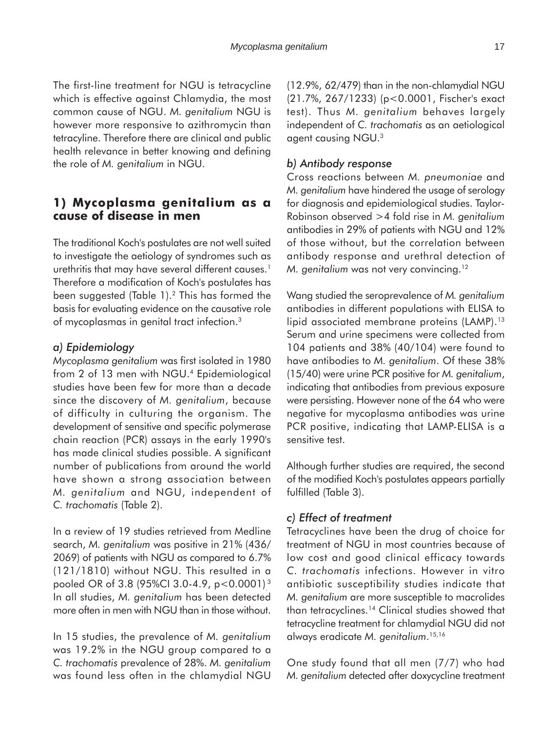The first-line treatment for NGU is tetracycline which is effective against Chlamydia, the most common cause of NGU. *M. genitalium* NGU is however more responsive to azithromycin than tetracyline. Therefore there are clinical and public health relevance in better knowing and defining the role of *M. genitalium* in NGU.

## **1) Mycoplasma genitalium as a cause of disease in men**

The traditional Koch's postulates are not well suited to investigate the aetiology of syndromes such as urethritis that may have several different causes.<sup>1</sup> Therefore a modification of Koch's postulates has been suggested (Table 1).2 This has formed the basis for evaluating evidence on the causative role of mycoplasmas in genital tract infection.3

## *a) Epidemiology*

*Mycoplasma genitalium* was first isolated in 1980 from 2 of 13 men with NGU.4 Epidemiological studies have been few for more than a decade since the discovery of *M. genitalium*, because of difficulty in culturing the organism. The development of sensitive and specific polymerase chain reaction (PCR) assays in the early 1990's has made clinical studies possible. A significant number of publications from around the world have shown a strong association between *M. genitalium* and NGU, independent of *C. trachomatis* (Table 2).

In a review of 19 studies retrieved from Medline search, *M. genitalium* was positive in 21% (436/ 2069) of patients with NGU as compared to 6.7% (121/1810) without NGU. This resulted in a pooled OR of 3.8 (95%Cl 3.0-4.9, p $<$ 0.0001) $^{\text{3}}$ In all studies, *M. genitalium* has been detected more often in men with NGU than in those without.

In 15 studies, the prevalence of *M. genitalium* was 19.2% in the NGU group compared to a *C. trachomatis* prevalence of 28%. *M. genitalium* was found less often in the chlamydial NGU (12.9%, 62/479) than in the non-chlamydial NGU (21.7%, 267/1233) (p<0.0001, Fischer's exact test). Thus *M. genitalium* behaves largely independent of *C. trachomatis* as an aetiological agent causing NGU.3

## *b) Antibody response*

Cross reactions between *M. pneumoniae* and *M. genitalium* have hindered the usage of serology for diagnosis and epidemiological studies. Taylor-Robinson observed >4 fold rise in *M. genitalium* antibodies in 29% of patients with NGU and 12% of those without, but the correlation between antibody response and urethral detection of *M. genitalium* was not very convincing.<sup>12</sup>

Wang studied the seroprevalence of *M. genitalium* antibodies in different populations with ELISA to lipid associated membrane proteins (LAMP).<sup>13</sup> Serum and urine specimens were collected from 104 patients and 38% (40/104) were found to have antibodies to *M. genitalium*. Of these 38% (15/40) were urine PCR positive for *M. genitalium*, indicating that antibodies from previous exposure were persisting. However none of the 64 who were negative for mycoplasma antibodies was urine PCR positive, indicating that LAMP-ELISA is a sensitive test.

Although further studies are required, the second of the modified Koch's postulates appears partially fulfilled (Table 3).

## *c) Effect of treatment*

Tetracyclines have been the drug of choice for treatment of NGU in most countries because of low cost and good clinical efficacy towards *C. trachomatis* infections. However in vitro antibiotic susceptibility studies indicate that *M. genitalium* are more susceptible to macrolides than tetracyclines.14 Clinical studies showed that tetracycline treatment for chlamydial NGU did not always eradicate *M. genitalium*. 15,16

One study found that all men (7/7) who had *M. genitalium* detected after doxycycline treatment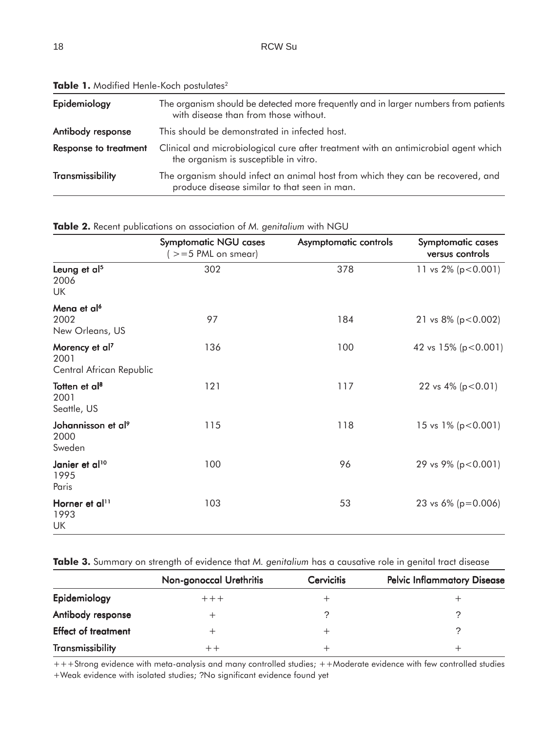| Epidemiology                 | The organism should be detected more frequently and in larger numbers from patients<br>with disease than from those without.    |  |  |
|------------------------------|---------------------------------------------------------------------------------------------------------------------------------|--|--|
| Antibody response            | This should be demonstrated in infected host.                                                                                   |  |  |
| <b>Response to treatment</b> | Clinical and microbiological cure after treatment with an antimicrobial agent which<br>the organism is susceptible in vitro.    |  |  |
| Transmissibility             | The organism should infect an animal host from which they can be recovered, and<br>produce disease similar to that seen in man. |  |  |

Table 1. Modified Henle-Koch postulates<sup>2</sup>

| Table 2. Recent publications on association of M. genitalium with NGU |  |  |  |  |  |  |  |
|-----------------------------------------------------------------------|--|--|--|--|--|--|--|
|-----------------------------------------------------------------------|--|--|--|--|--|--|--|

|                                                                | <b>Symptomatic NGU cases</b><br>$(>=5$ PML on smear) | Asymptomatic controls | <b>Symptomatic cases</b><br>versus controls |
|----------------------------------------------------------------|------------------------------------------------------|-----------------------|---------------------------------------------|
| Leung et al <sup>5</sup><br>2006<br>UK                         | 302                                                  | 378                   | 11 vs $2\%$ (p < 0.001)                     |
| Mena et al <sup>6</sup><br>2002<br>New Orleans, US             | 97                                                   | 184                   | 21 vs $8\%$ (p < 0.002)                     |
| Morency et al <sup>7</sup><br>2001<br>Central African Republic | 136                                                  | 100                   | 42 vs $15\%$ (p < 0.001)                    |
| Totten et al <sup>8</sup><br>2001<br>Seattle, US               | 121                                                  | 117                   | 22 vs $4\%$ (p < 0.01)                      |
| Johannisson et al <sup>9</sup><br>2000<br>Sweden               | 115                                                  | 118                   | 15 vs $1\%$ (p < 0.001)                     |
| Janier et al <sup>10</sup><br>1995<br>Paris                    | 100                                                  | 96                    | 29 vs 9% ( $p < 0.001$ )                    |
| Horner et al <sup>11</sup><br>1993<br>UK                       | 103                                                  | 53                    | 23 vs $6\%$ (p=0.006)                       |

**Table 3.** Summary on strength of evidence that *M. genitalium* has a causative role in genital tract disease

|                            | <b>Non-gonoccal Urethritis</b> | <b>Cervicitis</b> | <b>Pelvic Inflammatory Disease</b> |
|----------------------------|--------------------------------|-------------------|------------------------------------|
| Epidemiology               | $+++$                          |                   |                                    |
| Antibody response          | ┿                              |                   |                                    |
| <b>Effect of treatment</b> | +                              |                   |                                    |
| <b>Transmissibility</b>    |                                |                   |                                    |

+++Strong evidence with meta-analysis and many controlled studies; ++Moderate evidence with few controlled studies +Weak evidence with isolated studies; ?No significant evidence found yet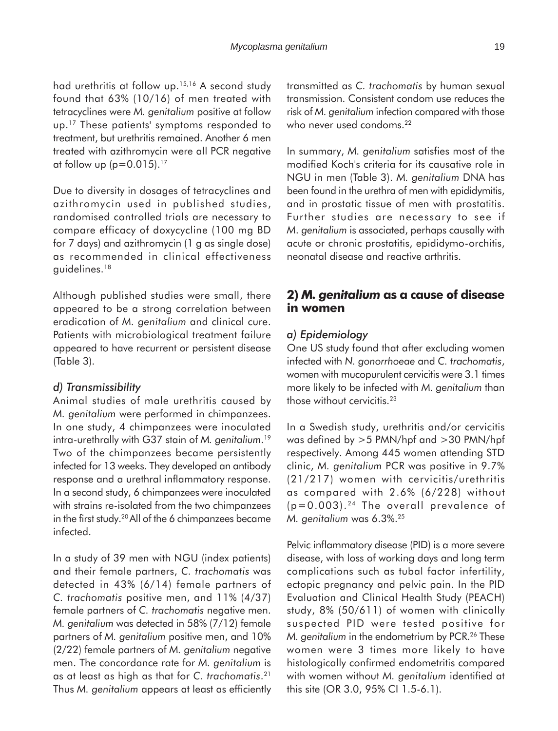had urethritis at follow up.15,16 A second study found that 63% (10/16) of men treated with tetracyclines were *M. genitalium* positive at follow up.<sup>17</sup> These patients' symptoms responded to treatment, but urethritis remained. Another 6 men treated with azithromycin were all PCR negative at follow up  $(p=0.015).$ <sup>17</sup>

Due to diversity in dosages of tetracyclines and azithromycin used in published studies, randomised controlled trials are necessary to compare efficacy of doxycycline (100 mg BD for 7 days) and azithromycin (1 g as single dose) as recommended in clinical effectiveness guidelines.18

Although published studies were small, there appeared to be a strong correlation between eradication of *M. genitalium* and clinical cure. Patients with microbiological treatment failure appeared to have recurrent or persistent disease (Table 3).

### *d) Transmissibility*

Animal studies of male urethritis caused by *M. genitalium* were performed in chimpanzees. In one study, 4 chimpanzees were inoculated intra-urethrally with G37 stain of *M. genitalium*. 19 Two of the chimpanzees became persistently infected for 13 weeks. They developed an antibody response and a urethral inflammatory response. In a second study, 6 chimpanzees were inoculated with strains re-isolated from the two chimpanzees in the first study.20 All of the 6 chimpanzees became infected.

In a study of 39 men with NGU (index patients) and their female partners, *C. trachomatis* was detected in 43% (6/14) female partners of *C. trachomatis* positive men, and 11% (4/37) female partners of *C. trachomatis* negative men. *M. genitalium* was detected in 58% (7/12) female partners of *M. genitalium* positive men, and 10% (2/22) female partners of *M. genitalium* negative men. The concordance rate for *M. genitalium* is as at least as high as that for *C. trachomatis*. 21 Thus *M. genitalium* appears at least as efficiently

transmitted as *C. trachomatis* by human sexual transmission. Consistent condom use reduces the risk of *M. genitalium* infection compared with those who never used condoms.<sup>22</sup>

In summary, *M. genitalium* satisfies most of the modified Koch's criteria for its causative role in NGU in men (Table 3). *M. genitalium* DNA has been found in the urethra of men with epididymitis, and in prostatic tissue of men with prostatitis. Further studies are necessary to see if *M*. *genitalium* is associated, perhaps causally with acute or chronic prostatitis, epididymo-orchitis, neonatal disease and reactive arthritis.

## **2)** *M. genitalium* **as a cause of disease in women**

#### *a) Epidemiology*

One US study found that after excluding women infected with *N. gonorrhoeae* and *C. trachomatis*, women with mucopurulent cervicitis were 3.1 times more likely to be infected with *M. genitalium* than those without cervicitis.<sup>23</sup>

In a Swedish study, urethritis and/or cervicitis was defined by >5 PMN/hpf and >30 PMN/hpf respectively. Among 445 women attending STD clinic, *M. genitalium* PCR was positive in 9.7% (21/217) women with cervicitis/urethritis as compared with 2.6% (6/228) without  $(p=0.003)$ . <sup>24</sup> The overall prevalence of *M. genitalium* was 6.3%.25

Pelvic inflammatory disease (PID) is a more severe disease, with loss of working days and long term complications such as tubal factor infertility, ectopic pregnancy and pelvic pain. In the PID Evaluation and Clinical Health Study (PEACH) study, 8% (50/611) of women with clinically suspected PID were tested positive for *M. genitalium* in the endometrium by PCR.<sup>26</sup> These women were 3 times more likely to have histologically confirmed endometritis compared with women without *M. genitalium* identified at this site (OR 3.0, 95% CI 1.5-6.1).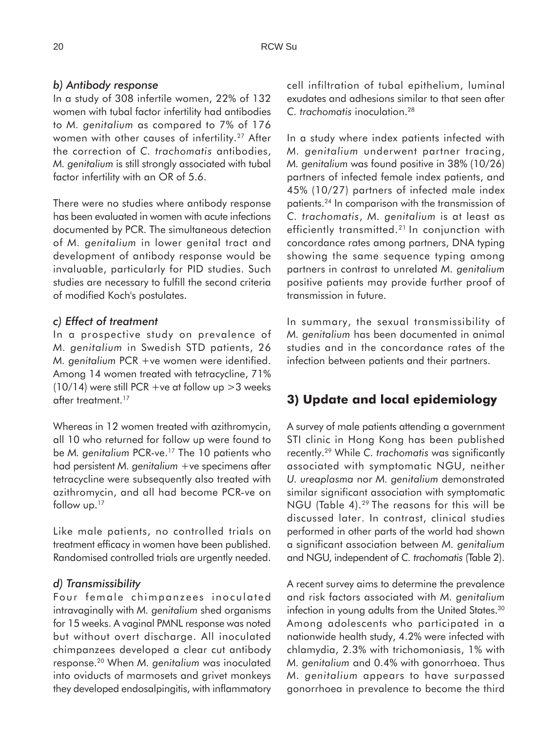## *b) Antibody response*

In a study of 308 infertile women, 22% of 132 women with tubal factor infertility had antibodies to *M. genitalium* as compared to 7% of 176 women with other causes of infertility.<sup>27</sup> After the correction of *C. trachomatis* antibodies, *M. genitalium* is still strongly associated with tubal factor infertility with an OR of 5.6.

There were no studies where antibody response has been evaluated in women with acute infections documented by PCR. The simultaneous detection of *M. genitalium* in lower genital tract and development of antibody response would be invaluable, particularly for PID studies. Such studies are necessary to fulfill the second criteria of modified Koch's postulates.

### *c) Effect of treatment*

In a prospective study on prevalence of *M. genitalium* in Swedish STD patients, 26 *M. genitalium* PCR +ve women were identified. Among 14 women treated with tetracycline, 71% (10/14) were still PCR +ve at follow up  $>$  3 weeks after treatment.<sup>17</sup>

Whereas in 12 women treated with azithromycin, all 10 who returned for follow up were found to be *M. genitalium* PCR-ve.17 The 10 patients who had persistent *M. genitalium* +ve specimens after tetracycline were subsequently also treated with azithromycin, and all had become PCR-ve on follow up.<sup>17</sup>

Like male patients, no controlled trials on treatment efficacy in women have been published. Randomised controlled trials are urgently needed.

#### *d) Transmissibility*

Four female chimpanzees inoculated intravaginally with *M. genitalium* shed organisms for 15 weeks. A vaginal PMNL response was noted but without overt discharge. All inoculated chimpanzees developed a clear cut antibody response.20 When *M. genitalium* was inoculated into oviducts of marmosets and grivet monkeys they developed endosalpingitis, with inflammatory cell infiltration of tubal epithelium, luminal exudates and adhesions similar to that seen after *C. trachomatis* inoculation.28

In a study where index patients infected with *M. genitalium* underwent partner tracing, *M. genitalium* was found positive in 38% (10/26) partners of infected female index patients, and 45% (10/27) partners of infected male index patients.24 In comparison with the transmission of *C. trachomatis*, *M. genitalium* is at least as efficiently transmitted.<sup>21</sup> In conjunction with concordance rates among partners, DNA typing showing the same sequence typing among partners in contrast to unrelated *M. genitalium* positive patients may provide further proof of transmission in future.

In summary, the sexual transmissibility of *M. genitalium* has been documented in animal studies and in the concordance rates of the infection between patients and their partners.

## **3) Update and local epidemiology**

A survey of male patients attending a government STI clinic in Hong Kong has been published recently.29 While *C. trachomatis* was significantly associated with symptomatic NGU, neither *U. ureaplasma* nor *M. genitalium* demonstrated similar significant association with symptomatic NGU (Table 4).29 The reasons for this will be discussed later. In contrast, clinical studies performed in other parts of the world had shown a significant association between *M. genitalium* and NGU, independent of *C. trachomatis* (Table 2).

A recent survey aims to determine the prevalence and risk factors associated with *M. genitalium* infection in young adults from the United States.<sup>30</sup> Among adolescents who participated in a nationwide health study, 4.2% were infected with chlamydia, 2.3% with trichomoniasis, 1% with *M. genitalium* and 0.4% with gonorrhoea. Thus *M. genitalium* appears to have surpassed gonorrhoea in prevalence to become the third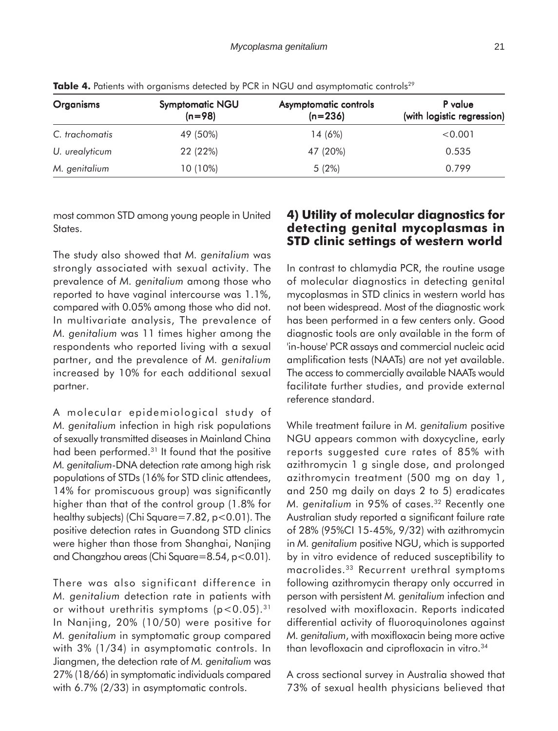| <b>Organisms</b> | <b>Symptomatic NGU</b><br>$(n=98)$ | <b>Asymptomatic controls</b><br>$(n=236)$ | P value<br>(with logistic regression) |
|------------------|------------------------------------|-------------------------------------------|---------------------------------------|
| C. trachomatis   | 49 (50%)                           | 14 (6%)                                   | < 0.001                               |
| U. urealyticum   | 22 (22%)                           | 47 (20%)                                  | 0.535                                 |
| M. genitalium    | 10 (10%)                           | 5(2%)                                     | 0.799                                 |

**Table 4.** Patients with organisms detected by PCR in NGU and asymptomatic controls<sup>29</sup>

most common STD among young people in United States.

The study also showed that *M. genitalium* was strongly associated with sexual activity. The prevalence of *M. genitalium* among those who reported to have vaginal intercourse was 1.1%, compared with 0.05% among those who did not. In multivariate analysis, The prevalence of *M. genitalium* was 11 times higher among the respondents who reported living with a sexual partner, and the prevalence of *M. genitalium* increased by 10% for each additional sexual partner.

A molecular epidemiological study of *M. genitalium* infection in high risk populations of sexually transmitted diseases in Mainland China had been performed.31 It found that the positive *M. genitalium*-DNA detection rate among high risk populations of STDs (16% for STD clinic attendees, 14% for promiscuous group) was significantly higher than that of the control group (1.8% for healthy subjects) (Chi Square=7.82, p<0.01). The positive detection rates in Guandong STD clinics were higher than those from Shanghai, Nanjing and Changzhou areas (Chi Square=8.54, p<0.01).

There was also significant difference in *M. genitalium* detection rate in patients with or without urethritis symptoms  $(p<0.05)$ .<sup>31</sup> In Nanjing, 20% (10/50) were positive for *M. genitalium* in symptomatic group compared with 3% (1/34) in asymptomatic controls. In Jiangmen, the detection rate of *M. genitalium* was 27% (18/66) in symptomatic individuals compared with 6.7% (2/33) in asymptomatic controls.

## **4) Utility of molecular diagnostics for detecting genital mycoplasmas in STD clinic settings of western world**

In contrast to chlamydia PCR, the routine usage of molecular diagnostics in detecting genital mycoplasmas in STD clinics in western world has not been widespread. Most of the diagnostic work has been performed in a few centers only. Good diagnostic tools are only available in the form of 'in-house' PCR assays and commercial nucleic acid amplification tests (NAATs) are not yet available. The access to commercially available NAATs would facilitate further studies, and provide external reference standard.

While treatment failure in *M. genitalium* positive NGU appears common with doxycycline, early reports suggested cure rates of 85% with azithromycin 1 g single dose, and prolonged azithromycin treatment (500 mg on day 1, and 250 mg daily on days 2 to 5) eradicates *M. genitalium* in 95% of cases.<sup>32</sup> Recently one Australian study reported a significant failure rate of 28% (95%CI 15-45%, 9/32) with azithromycin in *M. genitalium* positive NGU, which is supported by in vitro evidence of reduced susceptibility to macrolides.33 Recurrent urethral symptoms following azithromycin therapy only occurred in person with persistent *M. genitalium* infection and resolved with moxifloxacin. Reports indicated differential activity of fluoroquinolones against *M. genitalium*, with moxifloxacin being more active than levofloxacin and ciprofloxacin in vitro.34

A cross sectional survey in Australia showed that 73% of sexual health physicians believed that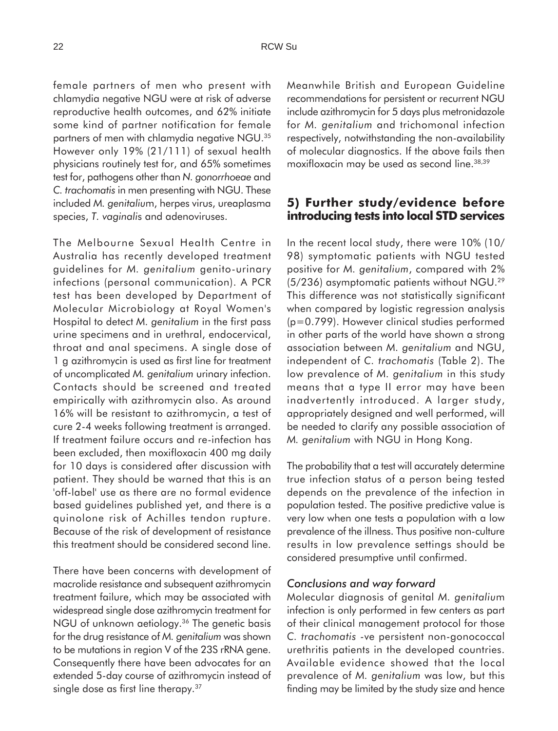female partners of men who present with chlamydia negative NGU were at risk of adverse reproductive health outcomes, and 62% initiate some kind of partner notification for female partners of men with chlamydia negative NGU.35 However only 19% (21/111) of sexual health physicians routinely test for, and 65% sometimes test for, pathogens other than *N. gonorrhoeae* and *C. trachomatis* in men presenting with NGU. These included *M. genitaliu*m, herpes virus, ureaplasma species, *T. vaginali*s and adenoviruses.

The Melbourne Sexual Health Centre in Australia has recently developed treatment guidelines for *M. genitalium* genito-urinary infections (personal communication). A PCR test has been developed by Department of Molecular Microbiology at Royal Women's Hospital to detect *M. genitalium* in the first pass urine specimens and in urethral, endocervical, throat and anal specimens. A single dose of 1 g azithromycin is used as first line for treatment of uncomplicated *M. genitalium* urinary infection. Contacts should be screened and treated empirically with azithromycin also. As around 16% will be resistant to azithromycin, a test of cure 2-4 weeks following treatment is arranged. If treatment failure occurs and re-infection has been excluded, then moxifloxacin 400 mg daily for 10 days is considered after discussion with patient. They should be warned that this is an 'off-label' use as there are no formal evidence based guidelines published yet, and there is a quinolone risk of Achilles tendon rupture. Because of the risk of development of resistance this treatment should be considered second line.

There have been concerns with development of macrolide resistance and subsequent azithromycin treatment failure, which may be associated with widespread single dose azithromycin treatment for NGU of unknown aetiology.<sup>36</sup> The genetic basis for the drug resistance of *M. genitalium* was shown to be mutations in region V of the 23S rRNA gene. Consequently there have been advocates for an extended 5-day course of azithromycin instead of single dose as first line therapy.<sup>37</sup>

Meanwhile British and European Guideline recommendations for persistent or recurrent NGU include azithromycin for 5 days plus metronidazole for *M. genitalium* and trichomonal infection respectively, notwithstanding the non-availability of molecular diagnostics. If the above fails then moxifloxacin may be used as second line.38,39

## **5) Further study/evidence before introducing tests into local STD services**

In the recent local study, there were 10% (10/ 98) symptomatic patients with NGU tested positive for *M. genitalium*, compared with 2% (5/236) asymptomatic patients without NGU.29 This difference was not statistically significant when compared by logistic regression analysis (p=0.799). However clinical studies performed in other parts of the world have shown a strong association between *M. genitalium* and NGU, independent of *C. trachomatis* (Table 2). The low prevalence of *M. genitalium* in this study means that a type II error may have been inadvertently introduced. A larger study, appropriately designed and well performed, will be needed to clarify any possible association of *M. genitalium* with NGU in Hong Kong.

The probability that a test will accurately determine true infection status of a person being tested depends on the prevalence of the infection in population tested. The positive predictive value is very low when one tests a population with a low prevalence of the illness. Thus positive non-culture results in low prevalence settings should be considered presumptive until confirmed.

#### *Conclusions and way forward*

Molecular diagnosis of genital *M. genitaliu*m infection is only performed in few centers as part of their clinical management protocol for those *C. trachomatis* -ve persistent non-gonococcal urethritis patients in the developed countries. Available evidence showed that the local prevalence of *M. genitalium* was low, but this finding may be limited by the study size and hence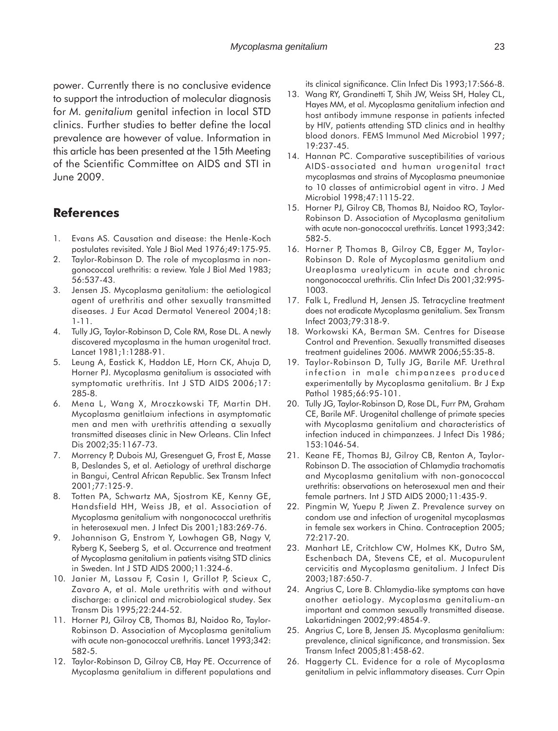power. Currently there is no conclusive evidence to support the introduction of molecular diagnosis for *M. genitalium* genital infection in local STD clinics. Further studies to better define the local prevalence are however of value. Information in this article has been presented at the 15th Meeting of the Scientific Committee on AIDS and STI in June 2009.

## **References**

- 1. Evans AS. Causation and disease: the Henle-Koch postulates revisited. Yale J Biol Med 1976;49:175-95.
- 2. Taylor-Robinson D. The role of mycoplasma in nongonococcal urethritis: a review. Yale J Biol Med 1983; 56:537-43.
- 3. Jensen JS. Mycoplasma genitalium: the aetiological agent of urethritis and other sexually transmitted diseases. J Eur Acad Dermatol Venereol 2004;18: 1-11.
- 4. Tully JG, Taylor-Robinson D, Cole RM, Rose DL. A newly discovered mycoplasma in the human urogenital tract. Lancet 1981;1:1288-91.
- 5. Leung A, Eastick K, Haddon LE, Horn CK, Ahuja D, Horner PJ. Mycoplasma genitalium is associated with symptomatic urethritis. Int J STD AIDS 2006;17: 285-8.
- 6. Mena L, Wang X, Mroczkowski TF, Martin DH. Mycoplasma genitlaium infections in asymptomatic men and men with urethritis attending a sexually transmitted diseases clinic in New Orleans. Clin Infect Dis 2002;35:1167-73.
- 7. Morrency P, Dubois MJ, Gresenguet G, Frost E, Masse B, Deslandes S, et al. Aetiology of urethral discharge in Bangui, Central African Republic. Sex Transm Infect 2001;77:125-9.
- 8. Totten PA, Schwartz MA, Sjostrom KE, Kenny GE, Handsfield HH, Weiss JB, et al. Association of Mycoplasma genitalium with nongonococcal urethritis in heterosexual men. J Infect Dis 2001;183:269-76.
- 9. Johannison G, Enstrom Y, Lowhagen GB, Nagy V, Ryberg K, Seeberg S, et al. Occurrence and treatment of Mycoplasma genitalium in patients visitng STD clinics in Sweden. Int J STD AIDS 2000;11:324-6.
- 10. Janier M, Lassau F, Casin I, Grillot P, Scieux C, Zavaro A, et al. Male urethritis with and without discharge: a clinical and microbiological studey. Sex Transm Dis 1995;22:244-52.
- 11. Horner PJ, Gilroy CB, Thomas BJ, Naidoo Ro, Taylor-Robinson D. Association of Mycoplasma genitalium with acute non-gonococcal urethritis. Lancet 1993;342: 582-5.
- 12. Taylor-Robinson D, Gilroy CB, Hay PE. Occurrence of Mycoplasma genitalium in different populations and

its clinical significance. Clin Infect Dis 1993;17:S66-8.

- 13. Wang RY, Grandinetti T, Shih JW, Weiss SH, Haley CL, Hayes MM, et al. Mycoplasma genitalium infection and host antibody immune response in patients infected by HIV, patients attending STD clinics and in healthy blood donors. FEMS Immunol Med Microbiol 1997; 19:237-45.
- 14. Hannan PC. Comparative susceptibilities of various AIDS-associated and human urogenital tract mycoplasmas and strains of Mycoplasma pneumoniae to 10 classes of antimicrobial agent in vitro. J Med Microbiol 1998;47:1115-22.
- 15. Horner PJ, Gilroy CB, Thomas BJ, Naidoo RO, Taylor-Robinson D. Association of Mycoplasma genitalium with acute non-gonococcal urethritis. Lancet 1993;342: 582-5.
- 16. Horner P, Thomas B, Gilroy CB, Egger M, Taylor-Robinson D. Role of Mycoplasma genitalium and Ureaplasma urealyticum in acute and chronic nongonococcal urethritis. Clin Infect Dis 2001;32:995- 1003.
- 17. Falk L, Fredlund H, Jensen JS. Tetracycline treatment does not eradicate Mycoplasma genitalium. Sex Transm Infect 2003;79:318-9.
- 18. Workowski KA, Berman SM. Centres for Disease Control and Prevention. Sexually transmitted diseases treatment guidelines 2006. MMWR 2006;55:35-8.
- 19. Taylor-Robinson D, Tully JG, Barile MF. Urethral infection in male chimpanzees produced experimentally by Mycoplasma genitalium. Br J Exp Pathol 1985;66:95-101.
- 20. Tully JG, Taylor-Robinson D, Rose DL, Furr PM, Graham CE, Barile MF. Urogenital challenge of primate species with Mycoplasma genitalium and characteristics of infection induced in chimpanzees. J Infect Dis 1986; 153:1046-54.
- 21. Keane FE, Thomas BJ, Gilroy CB, Renton A, Taylor-Robinson D. The association of Chlamydia trachomatis and Mycoplasma genitalium with non-gonococcal urethritis: observations on heterosexual men and their female partners. Int J STD AIDS 2000;11:435-9.
- 22. Pingmin W, Yuepu P, Jiwen Z. Prevalence survey on condom use and infection of urogenital mycoplasmas in female sex workers in China. Contraception 2005; 72:217-20.
- 23. Manhart LE, Critchlow CW, Holmes KK, Dutro SM, Eschenbach DA, Stevens CE, et al. Mucopurulent cervicitis and Mycoplasma genitalium. J Infect Dis 2003;187:650-7.
- 24. Angrius C, Lore B. Chlamydia-like symptoms can have another aetiology. Mycoplasma genitalium-an important and common sexually transmitted disease. Lakartidningen 2002;99:4854-9.
- 25. Angrius C, Lore B, Jensen JS. Mycoplasma genitalium: prevalence, clinical significance, and transmission. Sex Transm Infect 2005;81:458-62.
- 26. Haggerty CL. Evidence for a role of Mycoplasma genitalium in pelvic inflammatory diseases. Curr Opin